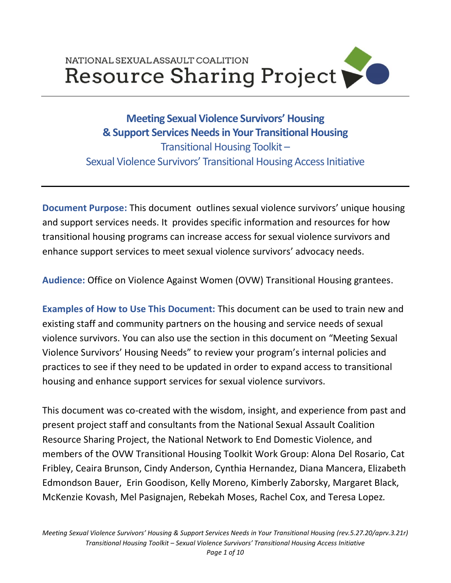# NATIONAL SEXUAL ASSAULT COALITION Resource Sharing Project

# **Meeting Sexual Violence Survivors' Housing & Support Services Needsin Your Transitional Housing** Transitional Housing Toolkit – Sexual Violence Survivors' Transitional Housing Access Initiative

**Document Purpose:** This document outlines sexual violence survivors' unique housing and support services needs. It provides specific information and resources for how transitional housing programs can increase access for sexual violence survivors and enhance support services to meet sexual violence survivors' advocacy needs.

**Audience:** Office on Violence Against Women (OVW) Transitional Housing grantees.

**Examples of How to Use This Document:** This document can be used to train new and existing staff and community partners on the housing and service needs of sexual violence survivors. You can also use the section in this document on "Meeting Sexual Violence Survivors' Housing Needs" to review your program's internal policies and practices to see if they need to be updated in order to expand access to transitional housing and enhance support services for sexual violence survivors.

This document was co-created with the wisdom, insight, and experience from past and present project staff and consultants from the National Sexual Assault Coalition Resource Sharing Project, the National Network to End Domestic Violence, and members of the OVW Transitional Housing Toolkit Work Group: Alona Del Rosario, Cat Fribley, Ceaira Brunson, Cindy Anderson, Cynthia Hernandez, Diana Mancera, Elizabeth Edmondson Bauer, Erin Goodison, Kelly Moreno, Kimberly Zaborsky, Margaret Black, McKenzie Kovash, Mel Pasignajen, Rebekah Moses, Rachel Cox, and Teresa Lopez*.*

*Meeting Sexual Violence Survivors' Housing & Support Services Needs in Your Transitional Housing (rev.5.27.20/aprv.3.21r) Transitional Housing Toolkit – Sexual Violence Survivors' Transitional Housing Access Initiative*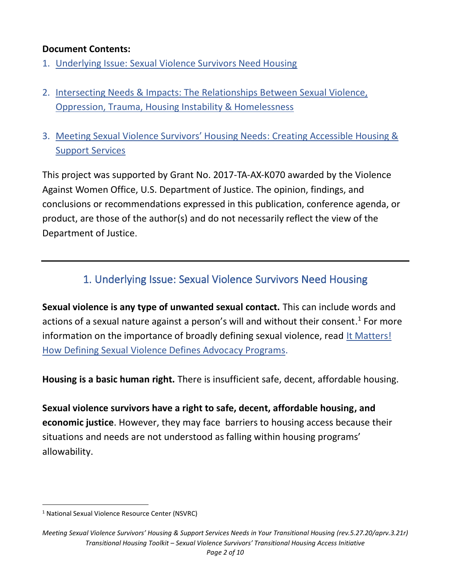#### **Document Contents:**

- 1. [Underlying Issue: Sexual Violence Survivors Need Housing](#page-1-0)
- 2. [Intersecting Needs & Impacts: The Relationships Between Sexual Violence,](#page-2-0)  [Oppression, Trauma, Housing Instability & Homelessness](#page-2-0)
- 3. [Meeting Sexual Violence Survivors' Housing Needs](#page-4-0): Creating Accessible Housing & Support [Services](#page-4-0)

This project was supported by Grant No. 2017-TA-AX-K070 awarded by the Violence Against Women Office, U.S. Department of Justice. The opinion, findings, and conclusions or recommendations expressed in this publication, conference agenda, or product, are those of the author(s) and do not necessarily reflect the view of the Department of Justice.

## 1. Underlying Issue: Sexual Violence Survivors Need Housing

<span id="page-1-0"></span>**Sexual violence is any type of unwanted sexual contact.** This can include words and actions of a sexual nature against a person's will and without their consent.<sup>1</sup> For more information on the importance of broadly defining sexual violence, read [It Matters!](http://www.resourcesharingproject.org/it-matters-how-defining-sexual-violence-defines-advocacy-programs)  [How Defining Sexual Violence Defines Advocacy Programs.](http://www.resourcesharingproject.org/it-matters-how-defining-sexual-violence-defines-advocacy-programs)

**Housing is a basic human right.** There is insufficient safe, decent, affordable housing.

**Sexual violence survivors have a right to safe, decent, affordable housing, and economic justice**. However, they may face barriers to housing access because their situations and needs are not understood as falling within housing programs' allowability.

<sup>&</sup>lt;sup>1</sup> National Sexual Violence Resource Center (NSVRC)

*Meeting Sexual Violence Survivors' Housing & Support Services Needs in Your Transitional Housing (rev.5.27.20/aprv.3.21r) Transitional Housing Toolkit – Sexual Violence Survivors' Transitional Housing Access Initiative*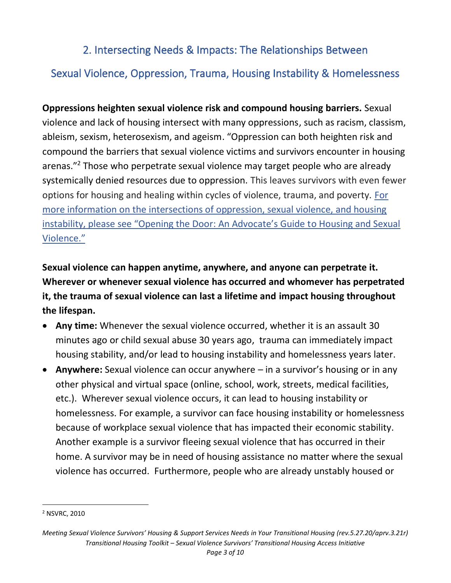## 2. Intersecting Needs & Impacts: The Relationships Between

# <span id="page-2-0"></span>Sexual Violence, Oppression, Trauma, Housing Instability & Homelessness

**Oppressions heighten sexual violence risk and compound housing barriers.** Sexual violence and lack of housing intersect with many oppressions, such as racism, classism, ableism, sexism, heterosexism, and ageism. "Oppression can both heighten risk and compound the barriers that sexual violence victims and survivors encounter in housing arenas."<sup>2</sup> Those who perpetrate sexual violence may target people who are already systemically denied resources due to oppression. This leaves survivors with even fewer options for housing and healing within cycles of violence, trauma, and poverty. [For](https://www.nsvrc.org/publications/opening-door-advocates-guide-housing-and-sexual-violence)  [more information on the intersections of oppression, sexual violence, and housing](https://www.nsvrc.org/publications/opening-door-advocates-guide-housing-and-sexual-violence)  [instability, please see "Opening the Door: An Advocate's Guide t](https://www.nsvrc.org/publications/opening-door-advocates-guide-housing-and-sexual-violence)o Housing and Sexual [Violence."](https://www.nsvrc.org/publications/opening-door-advocates-guide-housing-and-sexual-violence)

**Sexual violence can happen anytime, anywhere, and anyone can perpetrate it. Wherever or whenever sexual violence has occurred and whomever has perpetrated it, the trauma of sexual violence can last a lifetime and impact housing throughout the lifespan.**

- **Any time:** Whenever the sexual violence occurred, whether it is an assault 30 minutes ago or child sexual abuse 30 years ago, trauma can immediately impact housing stability, and/or lead to housing instability and homelessness years later.
- **Anywhere:** Sexual violence can occur anywhere in a survivor's housing or in any other physical and virtual space (online, school, work, streets, medical facilities, etc.). Wherever sexual violence occurs, it can lead to housing instability or homelessness. For example, a survivor can face housing instability or homelessness because of workplace sexual violence that has impacted their economic stability. Another example is a survivor fleeing sexual violence that has occurred in their home. A survivor may be in need of housing assistance no matter where the sexual violence has occurred. Furthermore, people who are already unstably housed or

<sup>2</sup> NSVRC, 2010

*Meeting Sexual Violence Survivors' Housing & Support Services Needs in Your Transitional Housing (rev.5.27.20/aprv.3.21r) Transitional Housing Toolkit – Sexual Violence Survivors' Transitional Housing Access Initiative*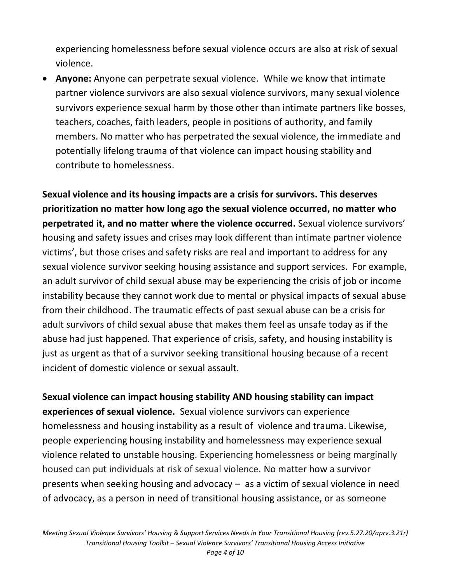experiencing homelessness before sexual violence occurs are also at risk of sexual violence.

• **Anyone:** Anyone can perpetrate sexual violence. While we know that intimate partner violence survivors are also sexual violence survivors, many sexual violence survivors experience sexual harm by those other than intimate partners like bosses, teachers, coaches, faith leaders, people in positions of authority, and family members. No matter who has perpetrated the sexual violence, the immediate and potentially lifelong trauma of that violence can impact housing stability and contribute to homelessness.

**Sexual violence and its housing impacts are a crisis for survivors. This deserves prioritization no matter how long ago the sexual violence occurred, no matter who perpetrated it, and no matter where the violence occurred.** Sexual violence survivors' housing and safety issues and crises may look different than intimate partner violence victims', but those crises and safety risks are real and important to address for any sexual violence survivor seeking housing assistance and support services. For example, an adult survivor of child sexual abuse may be experiencing the crisis of job or income instability because they cannot work due to mental or physical impacts of sexual abuse from their childhood. The traumatic effects of past sexual abuse can be a crisis for adult survivors of child sexual abuse that makes them feel as unsafe today as if the abuse had just happened. That experience of crisis, safety, and housing instability is just as urgent as that of a survivor seeking transitional housing because of a recent incident of domestic violence or sexual assault.

**Sexual violence can impact housing stability AND housing stability can impact experiences of sexual violence.** Sexual violence survivors can experience homelessness and housing instability as a result of violence and trauma. Likewise, people experiencing housing instability and homelessness may experience sexual violence related to unstable housing. Experiencing homelessness or being marginally housed can put individuals at risk of sexual violence. No matter how a survivor presents when seeking housing and advocacy – as a victim of sexual violence in need of advocacy, as a person in need of transitional housing assistance, or as someone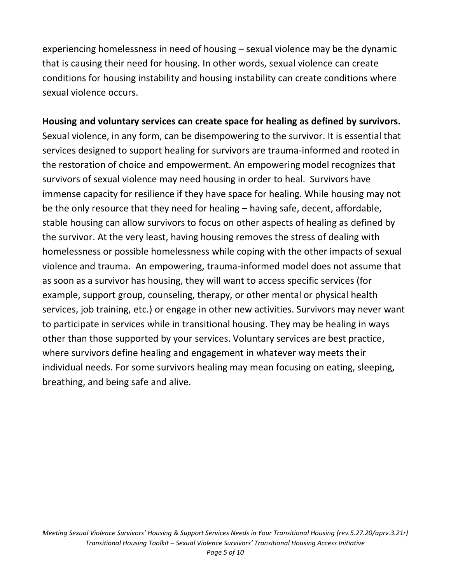experiencing homelessness in need of housing – sexual violence may be the dynamic that is causing their need for housing. In other words, sexual violence can create conditions for housing instability and housing instability can create conditions where sexual violence occurs.

# **Housing and voluntary services can create space for healing as defined by survivors.**

<span id="page-4-0"></span>Sexual violence, in any form, can be disempowering to the survivor. It is essential that services designed to support healing for survivors are trauma-informed and rooted in the restoration of choice and empowerment. An empowering model recognizes that survivors of sexual violence may need housing in order to heal. Survivors have immense capacity for resilience if they have space for healing. While housing may not be the only resource that they need for healing – having safe, decent, affordable, stable housing can allow survivors to focus on other aspects of healing as defined by the survivor. At the very least, having housing removes the stress of dealing with homelessness or possible homelessness while coping with the other impacts of sexual violence and trauma. An empowering, trauma-informed model does not assume that as soon as a survivor has housing, they will want to access specific services (for example, support group, counseling, therapy, or other mental or physical health services, job training, etc.) or engage in other new activities. Survivors may never want to participate in services while in transitional housing. They may be healing in ways other than those supported by your services. Voluntary services are best practice, where survivors define healing and engagement in whatever way meets their individual needs. For some survivors healing may mean focusing on eating, sleeping, breathing, and being safe and alive.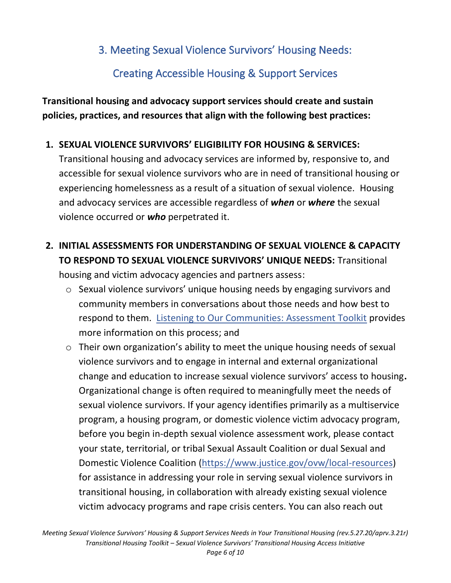## 3. Meeting Sexual Violence Survivors' Housing Needs:

# Creating Accessible Housing & Support Services

**Transitional housing and advocacy support services should create and sustain policies, practices, and resources that align with the following best practices:**

#### **1. SEXUAL VIOLENCE SURVIVORS' ELIGIBILITY FOR HOUSING & SERVICES:**

Transitional housing and advocacy services are informed by, responsive to, and accessible for sexual violence survivors who are in need of transitional housing or experiencing homelessness as a result of a situation of sexual violence. Housing and advocacy services are accessible regardless of *when* or *where* the sexual violence occurred or *who* perpetrated it.

## **2. INITIAL ASSESSMENTS FOR UNDERSTANDING OF SEXUAL VIOLENCE & CAPACITY TO RESPOND TO SEXUAL VIOLENCE SURVIVORS' UNIQUE NEEDS:** Transitional

housing and victim advocacy agencies and partners assess:

- o Sexual violence survivors' unique housing needs by engaging survivors and community members in conversations about those needs and how best to respond to them. [Listening to Our Communities: Assessment Toolkit](http://www.resourcesharingproject.org/listening-our-communities-assessment-toolkit) provides more information on this process; and
- o Their own organization's ability to meet the unique housing needs of sexual violence survivors and to engage in internal and external organizational change and education to increase sexual violence survivors' access to housing**.**  Organizational change is often required to meaningfully meet the needs of sexual violence survivors. If your agency identifies primarily as a multiservice program, a housing program, or domestic violence victim advocacy program, before you begin in-depth sexual violence assessment work, please contact your state, territorial, or tribal Sexual Assault Coalition or dual Sexual and Domestic Violence Coalition [\(https://www.justice.gov/ovw/local-resources\)](https://www.justice.gov/ovw/local-resources) for assistance in addressing your role in serving sexual violence survivors in transitional housing, in collaboration with already existing sexual violence victim advocacy programs and rape crisis centers. You can also reach out

*Meeting Sexual Violence Survivors' Housing & Support Services Needs in Your Transitional Housing (rev.5.27.20/aprv.3.21r) Transitional Housing Toolkit – Sexual Violence Survivors' Transitional Housing Access Initiative*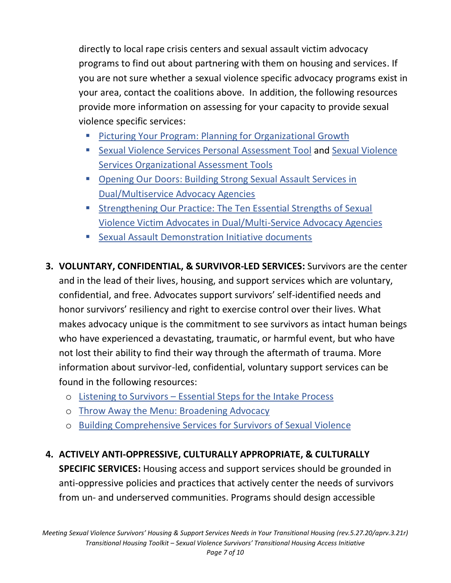directly to local rape crisis centers and sexual assault victim advocacy programs to find out about partnering with them on housing and services. If you are not sure whether a sexual violence specific advocacy programs exist in your area, contact the coalitions above. In addition, the following resources provide more information on assessing for your capacity to provide sexual violence specific services:

- [Picturing Your Program: Planning for Organizational Growth](https://resourcesharingproject.org/resources/picturing-your-program-planning-for-organizational-growth/)
- [Sexual Violence Services Personal](https://nnedv.org/resources-library/h_rsp-nsvrc-personal-assessment/) Assessment Tool and Sexual Violence [Services Organizational Assessment Tools](https://nnedv.org/resources-library/h_rsp-nsvrc-organizational-assessment/)
- Opening Our Doors: Building Strong Sexual Assault Services in [Dual/Multiservice Advocacy Agencies](http://www.resourcesharingproject.org/opening-our-doors-building-strong-sexual-assault-services-dualmulti-service-advocacy-agencies)
- Strengthening Our Practice: The Ten Essential Strengths of Sexual [Violence Victim Advocates in Dual/Multi-Service Advocacy Agencies](https://resourcesharingproject.org/resources/strengthening-our-practice-the-ten-essential-strengths-of-sexual-violence-victim-advocates-in-dual-multi-service-advocacy-agencies/)
- [Sexual Assault Demonstration Initiative documents](https://www.nsvrc.org/sexual-assault-demonstration-initiative)
- **3. VOLUNTARY, CONFIDENTIAL, & SURVIVOR-LED SERVICES:** Survivors are the center and in the lead of their lives, housing, and support services which are voluntary, confidential, and free. Advocates support survivors' self-identified needs and honor survivors' resiliency and right to exercise control over their lives. What makes advocacy unique is the commitment to see survivors as intact human beings who have experienced a devastating, traumatic, or harmful event, but who have not lost their ability to find their way through the aftermath of trauma. More information about survivor-led, confidential, voluntary support services can be found in the following resources:
	- o Listening to Survivors [Essential Steps for the Intake Process](http://www.resourcesharingproject.org/listening-survivors-essential-steps-intake-process)
	- o [Throw Away the Menu: Broadening Advocacy](http://www.resourcesharingproject.org/throw-away-menu)
	- o [Building Comprehensive Services for Survivors of Sexual Violence](http://www.resourcesharingproject.org/building-comprehensive-sexual-assault-services-programs)

#### **4. ACTIVELY ANTI-OPPRESSIVE, CULTURALLY APPROPRIATE, & CULTURALLY**

**SPECIFIC SERVICES:** Housing access and support services should be grounded in anti-oppressive policies and practices that actively center the needs of survivors from un- and underserved communities. Programs should design accessible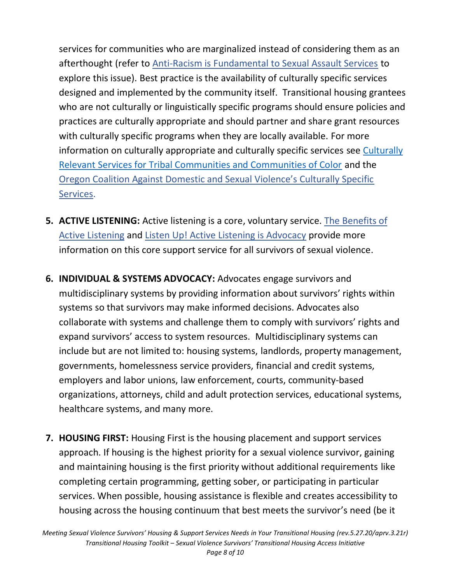services for communities who are marginalized instead of considering them as an afterthought (refer to [Anti-Racism is Fundamental to Sexual Assault Services](http://www.resourcesharingproject.org/anti-racism-fundamental-sexual-assault-services) to explore this issue). Best practice is the availability of culturally specific services designed and implemented by the community itself. Transitional housing grantees who are not culturally or linguistically specific programs should ensure policies and practices are culturally appropriate and should partner and share grant resources with culturally specific programs when they are locally available. For more information on culturally appropriate and culturally specific services see [Culturally](https://resourcesharingproject.org/resources/culturally-relevant-services-for-tribal-communities-and-communities-of-color/)  [Relevant Services for Tribal Communities and Communities of Color](https://resourcesharingproject.org/resources/culturally-relevant-services-for-tribal-communities-and-communities-of-color/) and the [Oregon Coalition Against Domestic and Sexual Violence's Culturally Specific](https://www.oregon.gov/DHS/ABUSE/DOMESTIC/DVAG/DVFAC%20Resources%20Docs/Culturally%20Specific%20Services%20Definition.pdf)  [Services.](https://www.oregon.gov/DHS/ABUSE/DOMESTIC/DVAG/DVFAC%20Resources%20Docs/Culturally%20Specific%20Services%20Definition.pdf)

- **5. ACTIVE LISTENING:** Active listening is a core, voluntary service. [The Benefits of](https://resourcesharingproject.org/wp-content/uploads/2022/02/the_benefits_of_active_listening_english.pdf)  [Active Listening](https://resourcesharingproject.org/wp-content/uploads/2022/02/the_benefits_of_active_listening_english.pdf) and [Listen Up! Active Listening is Advocacy](http://www.resourcesharingproject.org/listen-active-listening-advocacy) provide more information on this core support service for all survivors of sexual violence.
- **6. INDIVIDUAL & SYSTEMS ADVOCACY:** Advocates engage survivors and multidisciplinary systems by providing information about survivors' rights within systems so that survivors may make informed decisions. Advocates also collaborate with systems and challenge them to comply with survivors' rights and expand survivors' access to system resources. Multidisciplinary systems can include but are not limited to: housing systems, landlords, property management, governments, homelessness service providers, financial and credit systems, employers and labor unions, law enforcement, courts, community-based organizations, attorneys, child and adult protection services, educational systems, healthcare systems, and many more.
- **7. HOUSING FIRST:** Housing First is the housing placement and support services approach. If housing is the highest priority for a sexual violence survivor, gaining and maintaining housing is the first priority without additional requirements like completing certain programming, getting sober, or participating in particular services. When possible, housing assistance is flexible and creates accessibility to housing across the housing continuum that best meets the survivor's need (be it

*Meeting Sexual Violence Survivors' Housing & Support Services Needs in Your Transitional Housing (rev.5.27.20/aprv.3.21r) Transitional Housing Toolkit – Sexual Violence Survivors' Transitional Housing Access Initiative*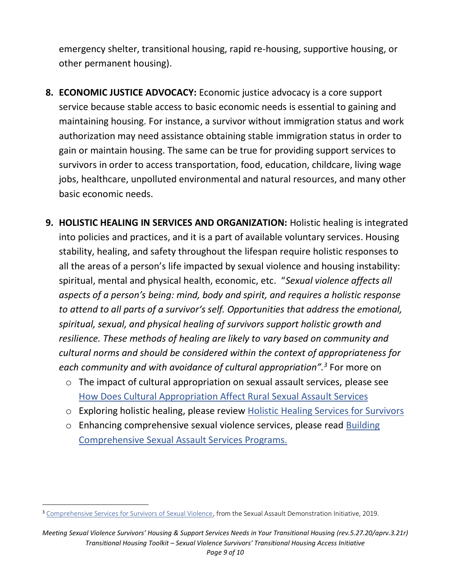emergency shelter, transitional housing, rapid re-housing, supportive housing, or other permanent housing).

- **8. ECONOMIC JUSTICE ADVOCACY:** Economic justice advocacy is a core support service because stable access to basic economic needs is essential to gaining and maintaining housing. For instance, a survivor without immigration status and work authorization may need assistance obtaining stable immigration status in order to gain or maintain housing. The same can be true for providing support services to survivors in order to access transportation, food, education, childcare, living wage jobs, healthcare, unpolluted environmental and natural resources, and many other basic economic needs.
- **9. HOLISTIC HEALING IN SERVICES AND ORGANIZATION:** Holistic healing is integrated into policies and practices, and it is a part of available voluntary services. Housing stability, healing, and safety throughout the lifespan require holistic responses to all the areas of a person's life impacted by sexual violence and housing instability: spiritual, mental and physical health, economic, etc. "*Sexual violence affects all aspects of a person's being: mind, body and spirit, and requires a holistic response to attend to all parts of a survivor's self. Opportunities that address the emotional, spiritual, sexual, and physical healing of survivors support holistic growth and resilience. These methods of healing are likely to vary based on community and cultural norms and should be considered within the context of appropriateness for each community and with avoidance of cultural appropriation".<sup>3</sup>* For more on
	- o The impact of cultural appropriation on sexual assault services, please see [How Does Cultural Appropriation Affect Rural Sexual Assault Services](http://www.resourcesharingproject.org/how-does-cultural-appropriation-affect-rural-sexual-assault-services)
	- o Exploring holistic healing, please review [Holistic Healing Services for Survivors](https://www.resourcesharingproject.org/holistic-healing-services-survivors-servicios-de-sanación-hol%C3%ADstica-para-los-sobrevivientes)
	- o Enhancing comprehensive sexual violence services, please read [Building](http://www.resourcesharingproject.org/building-comprehensive-sexual-assault-services-programs)  [Comprehensive Sexual Assault Services Programs.](http://www.resourcesharingproject.org/building-comprehensive-sexual-assault-services-programs)

<sup>&</sup>lt;sup>3</sup> [Comprehensive Services for Survivors of Sexual Violence,](https://resourcesharingproject.org/resources/building-comprehensive-services-for-survivors-of-sexual-violence/) from the Sexual Assault Demonstration Initiative, 2019.

*Meeting Sexual Violence Survivors' Housing & Support Services Needs in Your Transitional Housing (rev.5.27.20/aprv.3.21r) Transitional Housing Toolkit – Sexual Violence Survivors' Transitional Housing Access Initiative*